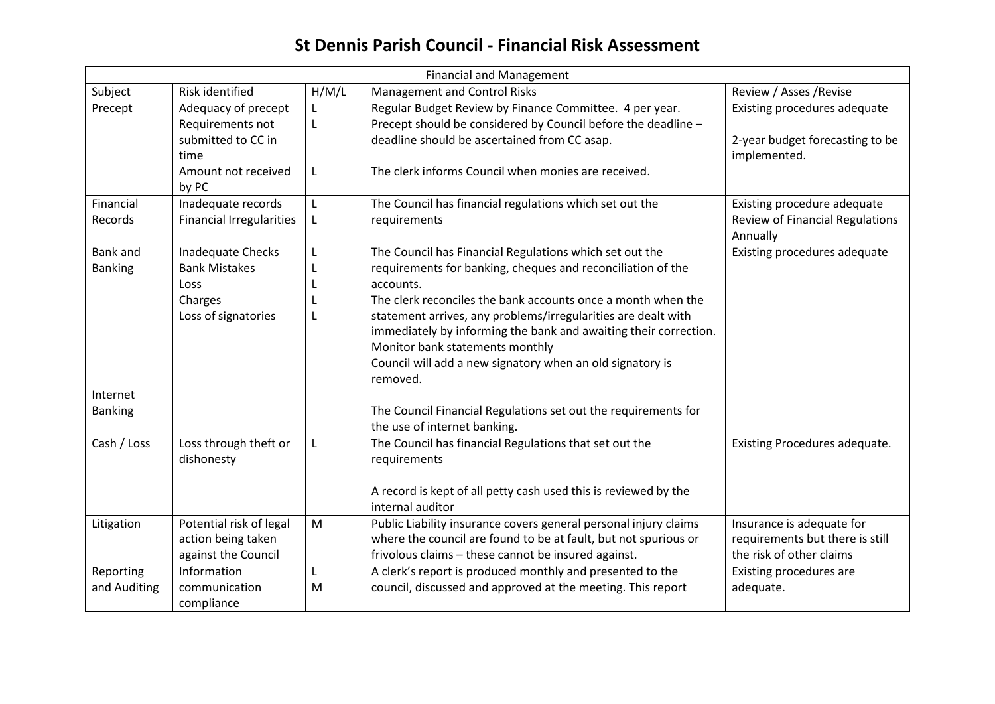## **St Dennis Parish Council - Financial Risk Assessment**

| <b>Financial and Management</b> |                                         |       |                                                                                                                          |                                                 |  |
|---------------------------------|-----------------------------------------|-------|--------------------------------------------------------------------------------------------------------------------------|-------------------------------------------------|--|
| Subject                         | Risk identified                         | H/M/L | <b>Management and Control Risks</b>                                                                                      | Review / Asses / Revise                         |  |
| Precept                         | Adequacy of precept<br>Requirements not | L     | Regular Budget Review by Finance Committee. 4 per year.<br>Precept should be considered by Council before the deadline - | Existing procedures adequate                    |  |
|                                 | submitted to CC in<br>time              |       | deadline should be ascertained from CC asap.                                                                             | 2-year budget forecasting to be<br>implemented. |  |
|                                 | Amount not received<br>by PC            | L     | The clerk informs Council when monies are received.                                                                      |                                                 |  |
| Financial                       | Inadequate records                      | L     | The Council has financial regulations which set out the                                                                  | Existing procedure adequate                     |  |
| Records                         | <b>Financial Irregularities</b>         | L     | requirements                                                                                                             | <b>Review of Financial Regulations</b>          |  |
|                                 |                                         |       |                                                                                                                          | Annually                                        |  |
| Bank and                        | <b>Inadequate Checks</b>                | L     | The Council has Financial Regulations which set out the                                                                  | Existing procedures adequate                    |  |
| <b>Banking</b>                  | <b>Bank Mistakes</b>                    | L     | requirements for banking, cheques and reconciliation of the                                                              |                                                 |  |
|                                 | Loss                                    | L     | accounts.                                                                                                                |                                                 |  |
|                                 | Charges                                 | L     | The clerk reconciles the bank accounts once a month when the                                                             |                                                 |  |
|                                 | Loss of signatories                     | L     | statement arrives, any problems/irregularities are dealt with                                                            |                                                 |  |
|                                 |                                         |       | immediately by informing the bank and awaiting their correction.                                                         |                                                 |  |
|                                 |                                         |       | Monitor bank statements monthly                                                                                          |                                                 |  |
|                                 |                                         |       | Council will add a new signatory when an old signatory is<br>removed.                                                    |                                                 |  |
| Internet                        |                                         |       |                                                                                                                          |                                                 |  |
| <b>Banking</b>                  |                                         |       | The Council Financial Regulations set out the requirements for<br>the use of internet banking.                           |                                                 |  |
| Cash / Loss                     | Loss through theft or<br>dishonesty     | L     | The Council has financial Regulations that set out the<br>requirements                                                   | Existing Procedures adequate.                   |  |
|                                 |                                         |       | A record is kept of all petty cash used this is reviewed by the<br>internal auditor                                      |                                                 |  |
| Litigation                      | Potential risk of legal                 | M     | Public Liability insurance covers general personal injury claims                                                         | Insurance is adequate for                       |  |
|                                 | action being taken                      |       | where the council are found to be at fault, but not spurious or                                                          | requirements but there is still                 |  |
|                                 | against the Council                     |       | frivolous claims - these cannot be insured against.                                                                      | the risk of other claims                        |  |
| Reporting                       | Information                             | L     | A clerk's report is produced monthly and presented to the                                                                | Existing procedures are                         |  |
| and Auditing                    | communication                           | M     | council, discussed and approved at the meeting. This report                                                              | adequate.                                       |  |
|                                 | compliance                              |       |                                                                                                                          |                                                 |  |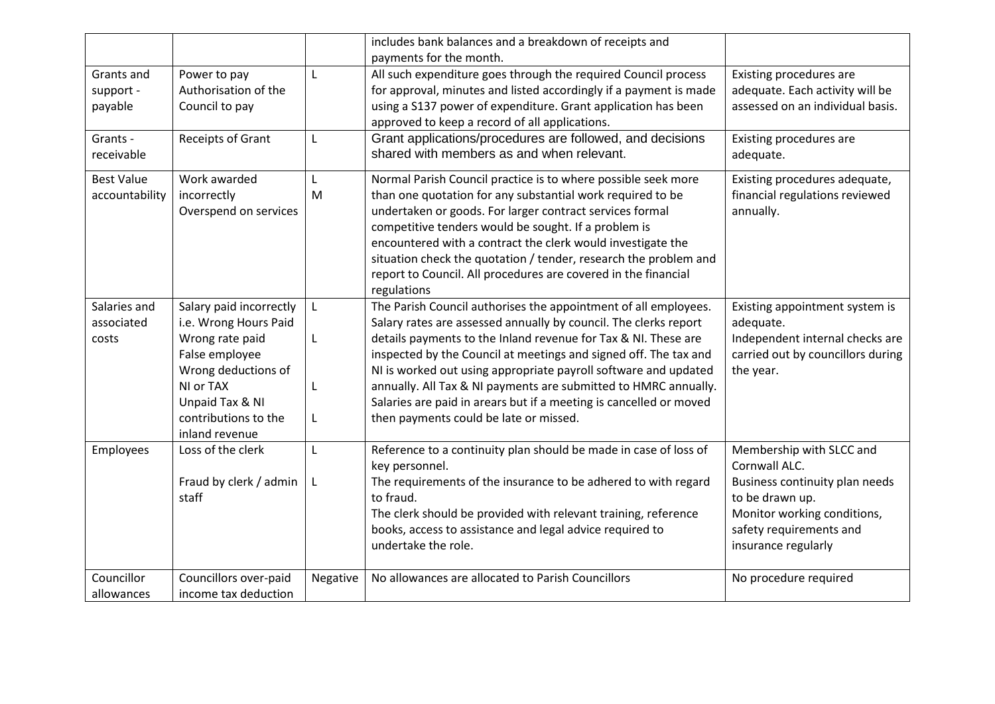|                                     |                                                                                                                                                                                        |          | includes bank balances and a breakdown of receipts and                                                                                                                                                                                                                                                                                                                                                                                                                                                                          |                                                                                                                                                                                 |
|-------------------------------------|----------------------------------------------------------------------------------------------------------------------------------------------------------------------------------------|----------|---------------------------------------------------------------------------------------------------------------------------------------------------------------------------------------------------------------------------------------------------------------------------------------------------------------------------------------------------------------------------------------------------------------------------------------------------------------------------------------------------------------------------------|---------------------------------------------------------------------------------------------------------------------------------------------------------------------------------|
| Grants and<br>support -<br>payable  | Power to pay<br>Authorisation of the<br>Council to pay                                                                                                                                 | L        | payments for the month.<br>All such expenditure goes through the required Council process<br>for approval, minutes and listed accordingly if a payment is made<br>using a S137 power of expenditure. Grant application has been                                                                                                                                                                                                                                                                                                 | Existing procedures are<br>adequate. Each activity will be<br>assessed on an individual basis.                                                                                  |
| Grants -<br>receivable              | Receipts of Grant                                                                                                                                                                      | L        | approved to keep a record of all applications.<br>Grant applications/procedures are followed, and decisions<br>shared with members as and when relevant.                                                                                                                                                                                                                                                                                                                                                                        | Existing procedures are<br>adequate.                                                                                                                                            |
| <b>Best Value</b><br>accountability | Work awarded<br>incorrectly<br>Overspend on services                                                                                                                                   | L<br>M   | Normal Parish Council practice is to where possible seek more<br>than one quotation for any substantial work required to be<br>undertaken or goods. For larger contract services formal<br>competitive tenders would be sought. If a problem is<br>encountered with a contract the clerk would investigate the<br>situation check the quotation / tender, research the problem and<br>report to Council. All procedures are covered in the financial<br>regulations                                                             | Existing procedures adequate,<br>financial regulations reviewed<br>annually.                                                                                                    |
| Salaries and<br>associated<br>costs | Salary paid incorrectly<br>i.e. Wrong Hours Paid<br>Wrong rate paid<br>False employee<br>Wrong deductions of<br>NI or TAX<br>Unpaid Tax & NI<br>contributions to the<br>inland revenue | L<br>L   | The Parish Council authorises the appointment of all employees.<br>Salary rates are assessed annually by council. The clerks report<br>details payments to the Inland revenue for Tax & NI. These are<br>inspected by the Council at meetings and signed off. The tax and<br>NI is worked out using appropriate payroll software and updated<br>annually. All Tax & NI payments are submitted to HMRC annually.<br>Salaries are paid in arears but if a meeting is cancelled or moved<br>then payments could be late or missed. | Existing appointment system is<br>adequate.<br>Independent internal checks are<br>carried out by councillors during<br>the year.                                                |
| Employees                           | Loss of the clerk<br>Fraud by clerk / admin<br>staff                                                                                                                                   | L<br>L   | Reference to a continuity plan should be made in case of loss of<br>key personnel.<br>The requirements of the insurance to be adhered to with regard<br>to fraud.<br>The clerk should be provided with relevant training, reference<br>books, access to assistance and legal advice required to<br>undertake the role.                                                                                                                                                                                                          | Membership with SLCC and<br>Cornwall ALC.<br>Business continuity plan needs<br>to be drawn up.<br>Monitor working conditions,<br>safety requirements and<br>insurance regularly |
| Councillor<br>allowances            | Councillors over-paid<br>income tax deduction                                                                                                                                          | Negative | No allowances are allocated to Parish Councillors                                                                                                                                                                                                                                                                                                                                                                                                                                                                               | No procedure required                                                                                                                                                           |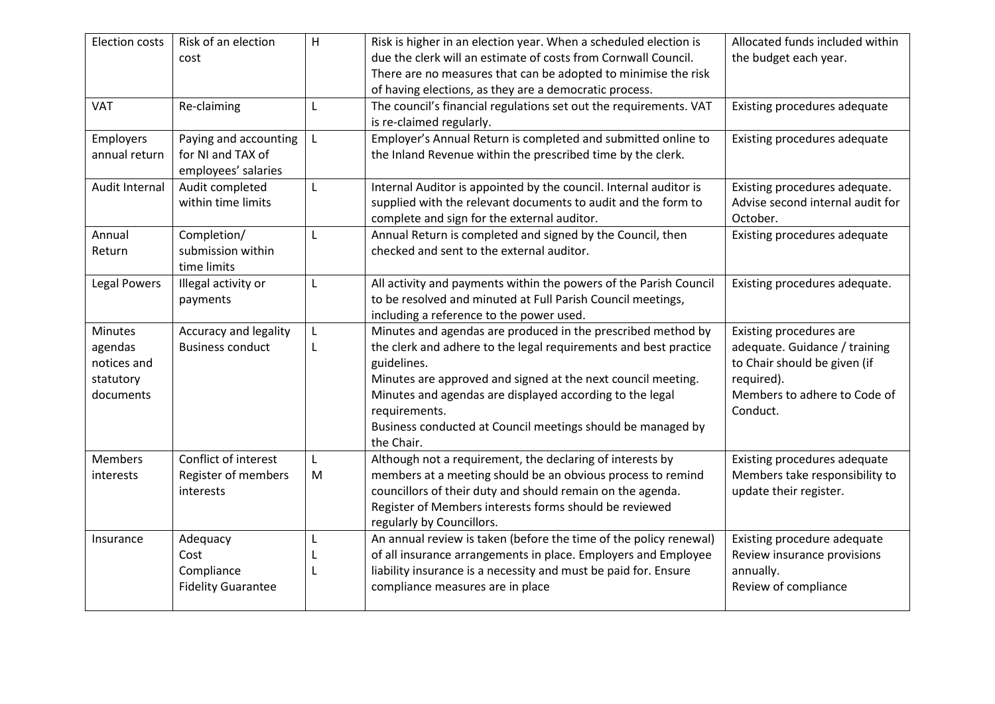| Election costs             | Risk of an election<br>cost                                       | H | Risk is higher in an election year. When a scheduled election is<br>due the clerk will an estimate of costs from Cornwall Council.<br>There are no measures that can be adopted to minimise the risk             | Allocated funds included within<br>the budget each year.                      |
|----------------------------|-------------------------------------------------------------------|---|------------------------------------------------------------------------------------------------------------------------------------------------------------------------------------------------------------------|-------------------------------------------------------------------------------|
|                            |                                                                   |   | of having elections, as they are a democratic process.                                                                                                                                                           |                                                                               |
| VAT                        | Re-claiming                                                       |   | The council's financial regulations set out the requirements. VAT<br>is re-claimed regularly.                                                                                                                    | Existing procedures adequate                                                  |
| Employers<br>annual return | Paying and accounting<br>for NI and TAX of<br>employees' salaries | L | Employer's Annual Return is completed and submitted online to<br>the Inland Revenue within the prescribed time by the clerk.                                                                                     | Existing procedures adequate                                                  |
| Audit Internal             | Audit completed<br>within time limits                             | L | Internal Auditor is appointed by the council. Internal auditor is<br>supplied with the relevant documents to audit and the form to<br>complete and sign for the external auditor.                                | Existing procedures adequate.<br>Advise second internal audit for<br>October. |
| Annual<br>Return           | Completion/<br>submission within<br>time limits                   | L | Annual Return is completed and signed by the Council, then<br>checked and sent to the external auditor.                                                                                                          | Existing procedures adequate                                                  |
| <b>Legal Powers</b>        | Illegal activity or<br>payments                                   | L | All activity and payments within the powers of the Parish Council<br>to be resolved and minuted at Full Parish Council meetings,<br>including a reference to the power used.                                     | Existing procedures adequate.                                                 |
| <b>Minutes</b>             | Accuracy and legality                                             |   | Minutes and agendas are produced in the prescribed method by                                                                                                                                                     | Existing procedures are                                                       |
| agendas                    | <b>Business conduct</b>                                           |   | the clerk and adhere to the legal requirements and best practice                                                                                                                                                 | adequate. Guidance / training                                                 |
| notices and                |                                                                   |   | guidelines.                                                                                                                                                                                                      | to Chair should be given (if                                                  |
| statutory                  |                                                                   |   | Minutes are approved and signed at the next council meeting.                                                                                                                                                     | required).                                                                    |
| documents                  |                                                                   |   | Minutes and agendas are displayed according to the legal<br>requirements.                                                                                                                                        | Members to adhere to Code of<br>Conduct.                                      |
|                            |                                                                   |   | Business conducted at Council meetings should be managed by<br>the Chair.                                                                                                                                        |                                                                               |
| <b>Members</b>             | Conflict of interest                                              | L | Although not a requirement, the declaring of interests by                                                                                                                                                        | Existing procedures adequate                                                  |
| interests                  | Register of members<br>interests                                  | M | members at a meeting should be an obvious process to remind<br>councillors of their duty and should remain on the agenda.<br>Register of Members interests forms should be reviewed<br>regularly by Councillors. | Members take responsibility to<br>update their register.                      |
| Insurance                  | Adequacy                                                          | L | An annual review is taken (before the time of the policy renewal)                                                                                                                                                | Existing procedure adequate                                                   |
|                            | Cost                                                              |   | of all insurance arrangements in place. Employers and Employee                                                                                                                                                   | Review insurance provisions                                                   |
|                            | Compliance                                                        |   | liability insurance is a necessity and must be paid for. Ensure                                                                                                                                                  | annually.                                                                     |
|                            | <b>Fidelity Guarantee</b>                                         |   | compliance measures are in place                                                                                                                                                                                 | Review of compliance                                                          |
|                            |                                                                   |   |                                                                                                                                                                                                                  |                                                                               |